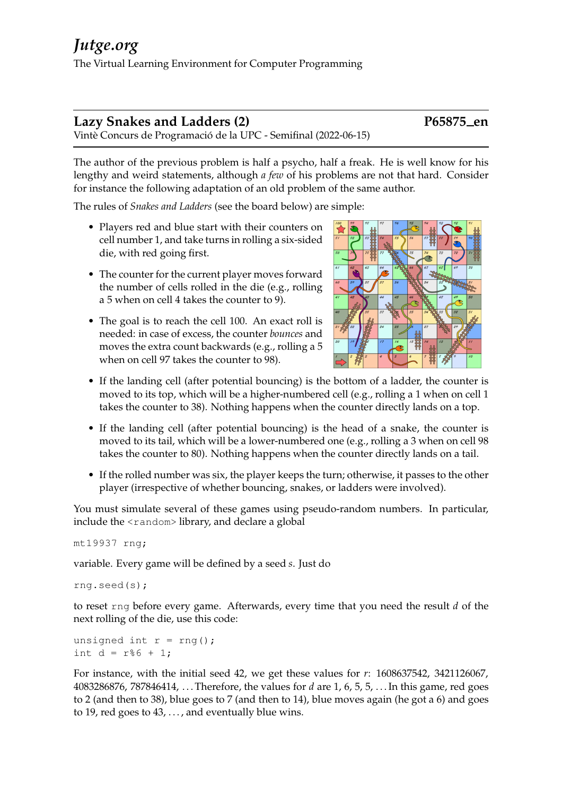# **Lazy Snakes and Ladders (2) P65875 en**

Vintè Concurs de Programació de la UPC - Semifinal (2022-06-15)

The author of the previous problem is half a psycho, half a freak. He is well know for his lengthy and weird statements, although *a few* of his problems are not that hard. Consider for instance the following adaptation of an old problem of the same author.

The rules of *Snakes and Ladders* (see the board below) are simple:

- Players red and blue start with their counters on cell number 1, and take turns in rolling a six-sided die, with red going first.
- The counter for the current player moves forward the number of cells rolled in the die (e.g., rolling a 5 when on cell 4 takes the counter to 9).
- The goal is to reach the cell 100. An exact roll is needed: in case of excess, the counter *bounces* and moves the extra count backwards (e.g., rolling a 5 when on cell 97 takes the counter to 98).



- If the landing cell (after potential bouncing) is the bottom of a ladder, the counter is moved to its top, which will be a higher-numbered cell (e.g., rolling a 1 when on cell 1 takes the counter to 38). Nothing happens when the counter directly lands on a top.
- If the landing cell (after potential bouncing) is the head of a snake, the counter is moved to its tail, which will be a lower-numbered one (e.g., rolling a 3 when on cell 98 takes the counter to 80). Nothing happens when the counter directly lands on a tail.
- If the rolled number was six, the player keeps the turn; otherwise, it passes to the other player (irrespective of whether bouncing, snakes, or ladders were involved).

You must simulate several of these games using pseudo-random numbers. In particular, include the <random> library, and declare a global

mt19937 rng;

variable. Every game will be defined by a seed *s*. Just do

rng.seed(s);

to reset rng before every game. Afterwards, every time that you need the result *d* of the next rolling of the die, use this code:

unsigned int  $r = rng()$ ; int  $d = r\frac{6}{6} + 1$ ;

For instance, with the initial seed 42, we get these values for *r*: 1608637542, 3421126067, 4083286876, 787846414, . . . Therefore, the values for *d* are 1, 6, 5, 5, . . . In this game, red goes to 2 (and then to 38), blue goes to 7 (and then to 14), blue moves again (he got a 6) and goes to 19, red goes to  $43, \ldots$ , and eventually blue wins.